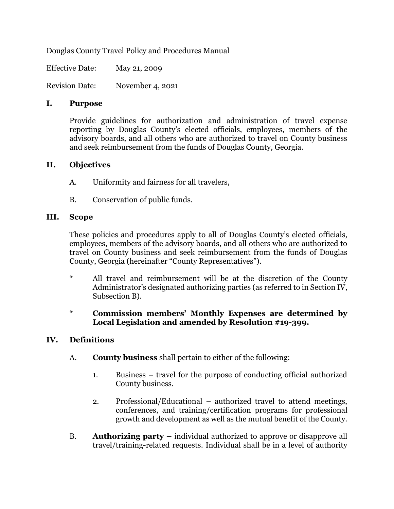Douglas County Travel Policy and Procedures Manual

Effective Date: May 21, 2009

Revision Date: November 4, 2021

#### **I. Purpose**

Provide guidelines for authorization and administration of travel expense reporting by Douglas County's elected officials, employees, members of the advisory boards, and all others who are authorized to travel on County business and seek reimbursement from the funds of Douglas County, Georgia.

#### **II. Objectives**

- A. Uniformity and fairness for all travelers,
- B. Conservation of public funds.

#### **III. Scope**

These policies and procedures apply to all of Douglas County's elected officials, employees, members of the advisory boards, and all others who are authorized to travel on County business and seek reimbursement from the funds of Douglas County, Georgia (hereinafter "County Representatives").

**\*** All travel and reimbursement will be at the discretion of the County Administrator's designated authorizing parties (as referred to in Section IV, Subsection B).

# **\* Commission members' Monthly Expenses are determined by Local Legislation and amended by Resolution #19-399.**

## **IV. Definitions**

- A. **County business** shall pertain to either of the following:
	- 1. Business travel for the purpose of conducting official authorized County business.
	- 2. Professional/Educational authorized travel to attend meetings, conferences, and training/certification programs for professional growth and development as well as the mutual benefit of the County.
- B. **Authorizing party –** individual authorized to approve or disapprove all travel/training-related requests. Individual shall be in a level of authority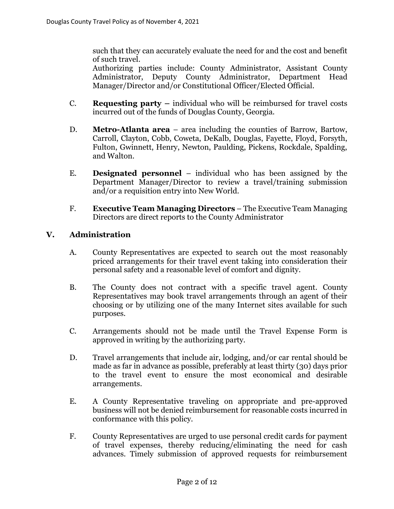such that they can accurately evaluate the need for and the cost and benefit of such travel.

Authorizing parties include: County Administrator, Assistant County Administrator, Deputy County Administrator, Department Head Manager/Director and/or Constitutional Officer/Elected Official.

- C. **Requesting party –** individual who will be reimbursed for travel costs incurred out of the funds of Douglas County, Georgia.
- D. **Metro-Atlanta area** area including the counties of Barrow, Bartow, Carroll, Clayton, Cobb, Coweta, DeKalb, Douglas, Fayette, Floyd, Forsyth, Fulton, Gwinnett, Henry, Newton, Paulding, Pickens, Rockdale, Spalding, and Walton.
- E. **Designated personnel** individual who has been assigned by the Department Manager/Director to review a travel/training submission and/or a requisition entry into New World.
- F. **Executive Team Managing Directors** The Executive Team Managing Directors are direct reports to the County Administrator

# **V. Administration**

- A. County Representatives are expected to search out the most reasonably priced arrangements for their travel event taking into consideration their personal safety and a reasonable level of comfort and dignity.
- B. The County does not contract with a specific travel agent. County Representatives may book travel arrangements through an agent of their choosing or by utilizing one of the many Internet sites available for such purposes.
- C. Arrangements should not be made until the Travel Expense Form is approved in writing by the authorizing party.
- D. Travel arrangements that include air, lodging, and/or car rental should be made as far in advance as possible, preferably at least thirty (30) days prior to the travel event to ensure the most economical and desirable arrangements.
- E. A County Representative traveling on appropriate and pre-approved business will not be denied reimbursement for reasonable costs incurred in conformance with this policy.
- F. County Representatives are urged to use personal credit cards for payment of travel expenses, thereby reducing/eliminating the need for cash advances. Timely submission of approved requests for reimbursement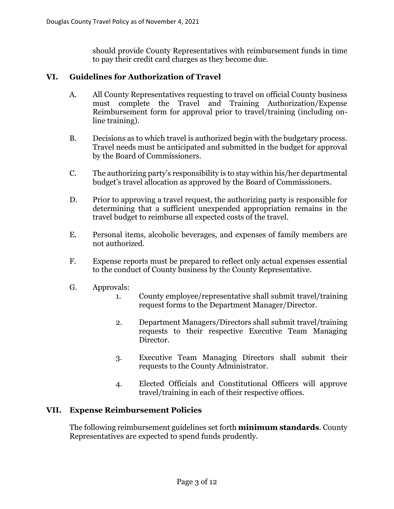should provide County Representatives with reimbursement funds in time to pay their credit card charges as they become due.

# **VI. Guidelines for Authorization of Travel**

- A. All County Representatives requesting to travel on official County business must complete the Travel and Training Authorization/Expense Reimbursement form for approval prior to travel/training (including online training).
- B. Decisions as to which travel is authorized begin with the budgetary process. Travel needs must be anticipated and submitted in the budget for approval by the Board of Commissioners.
- C. The authorizing party's responsibility is to stay within his/her departmental budget's travel allocation as approved by the Board of Commissioners.
- D. Prior to approving a travel request, the authorizing party is responsible for determining that a sufficient unexpended appropriation remains in the travel budget to reimburse all expected costs of the travel.
- E. Personal items, alcoholic beverages, and expenses of family members are not authorized.
- F. Expense reports must be prepared to reflect only actual expenses essential to the conduct of County business by the County Representative.
- G. Approvals:
	- 1. County employee/representative shall submit travel/training request forms to the Department Manager/Director.
	- 2. Department Managers/Directors shall submit travel/training requests to their respective Executive Team Managing Director.
	- 3. Executive Team Managing Directors shall submit their requests to the County Administrator.
	- 4. Elected Officials and Constitutional Officers will approve travel/training in each of their respective offices.

## **VII. Expense Reimbursement Policies**

The following reimbursement guidelines set forth **minimum standards**. County Representatives are expected to spend funds prudently.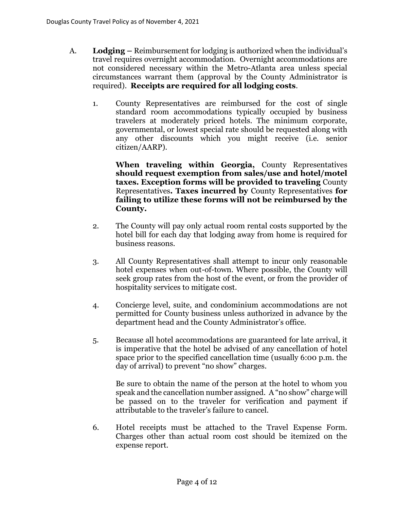- A. **Lodging –** Reimbursement for lodging is authorized when the individual's travel requires overnight accommodation. Overnight accommodations are not considered necessary within the Metro-Atlanta area unless special circumstances warrant them (approval by the County Administrator is required). **Receipts are required for all lodging costs**.
	- 1. County Representatives are reimbursed for the cost of single standard room accommodations typically occupied by business travelers at moderately priced hotels. The minimum corporate, governmental, or lowest special rate should be requested along with any other discounts which you might receive (i.e. senior citizen/AARP).

**When traveling within Georgia,** County Representatives **should request exemption from sales/use and hotel/motel taxes. Exception forms will be provided to traveling** County Representatives**. Taxes incurred by** County Representatives **for failing to utilize these forms will not be reimbursed by the County.**

- 2. The County will pay only actual room rental costs supported by the hotel bill for each day that lodging away from home is required for business reasons.
- 3. All County Representatives shall attempt to incur only reasonable hotel expenses when out-of-town. Where possible, the County will seek group rates from the host of the event, or from the provider of hospitality services to mitigate cost.
- 4. Concierge level, suite, and condominium accommodations are not permitted for County business unless authorized in advance by the department head and the County Administrator's office.
- 5. Because all hotel accommodations are guaranteed for late arrival, it is imperative that the hotel be advised of any cancellation of hotel space prior to the specified cancellation time (usually 6:00 p.m. the day of arrival) to prevent "no show" charges.

Be sure to obtain the name of the person at the hotel to whom you speak and the cancellation number assigned. A "no show" charge will be passed on to the traveler for verification and payment if attributable to the traveler's failure to cancel.

6. Hotel receipts must be attached to the Travel Expense Form. Charges other than actual room cost should be itemized on the expense report.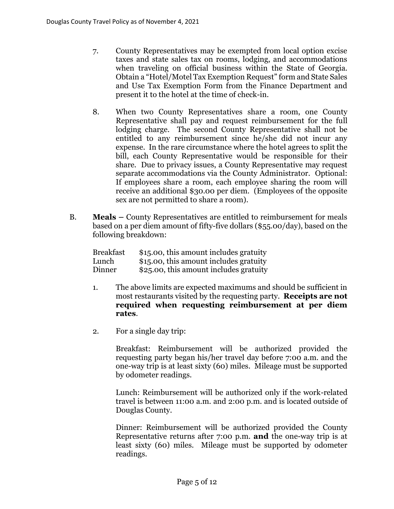- 7. County Representatives may be exempted from local option excise taxes and state sales tax on rooms, lodging, and accommodations when traveling on official business within the State of Georgia. Obtain a "Hotel/Motel Tax Exemption Request" form and State Sales and Use Tax Exemption Form from the Finance Department and present it to the hotel at the time of check-in.
- 8. When two County Representatives share a room, one County Representative shall pay and request reimbursement for the full lodging charge. The second County Representative shall not be entitled to any reimbursement since he/she did not incur any expense. In the rare circumstance where the hotel agrees to split the bill, each County Representative would be responsible for their share. Due to privacy issues, a County Representative may request separate accommodations via the County Administrator. Optional: If employees share a room, each employee sharing the room will receive an additional \$30.00 per diem. (Employees of the opposite sex are not permitted to share a room).
- B. **Meals –** County Representatives are entitled to reimbursement for meals based on a per diem amount of fifty-five dollars (\$55.00/day), based on the following breakdown:

| <b>Breakfast</b> | \$15.00, this amount includes gratuity |
|------------------|----------------------------------------|
| Lunch            | \$15.00, this amount includes gratuity |
| Dinner           | \$25.00, this amount includes gratuity |

- 1. The above limits are expected maximums and should be sufficient in most restaurants visited by the requesting party. **Receipts are not required when requesting reimbursement at per diem rates**.
- 2. For a single day trip:

Breakfast: Reimbursement will be authorized provided the requesting party began his/her travel day before 7:00 a.m. and the one-way trip is at least sixty (60) miles. Mileage must be supported by odometer readings.

Lunch: Reimbursement will be authorized only if the work-related travel is between 11:00 a.m. and 2:00 p.m. and is located outside of Douglas County.

Dinner: Reimbursement will be authorized provided the County Representative returns after 7:00 p.m. **and** the one-way trip is at least sixty (60) miles. Mileage must be supported by odometer readings.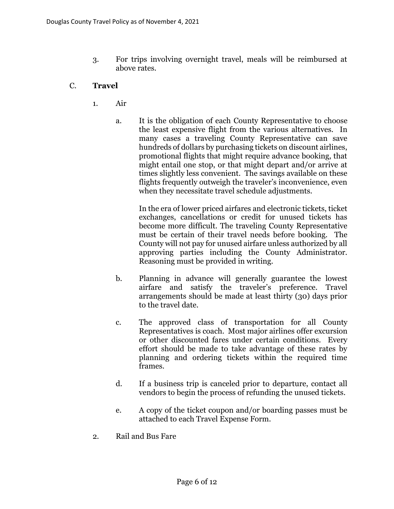- 3. For trips involving overnight travel, meals will be reimbursed at above rates.
- C. **Travel**
	- 1. Air
		- a. It is the obligation of each County Representative to choose the least expensive flight from the various alternatives. In many cases a traveling County Representative can save hundreds of dollars by purchasing tickets on discount airlines, promotional flights that might require advance booking, that might entail one stop, or that might depart and/or arrive at times slightly less convenient. The savings available on these flights frequently outweigh the traveler's inconvenience, even when they necessitate travel schedule adjustments.

In the era of lower priced airfares and electronic tickets, ticket exchanges, cancellations or credit for unused tickets has become more difficult. The traveling County Representative must be certain of their travel needs before booking. The County will not pay for unused airfare unless authorized by all approving parties including the County Administrator. Reasoning must be provided in writing.

- b. Planning in advance will generally guarantee the lowest airfare and satisfy the traveler's preference. Travel arrangements should be made at least thirty (30) days prior to the travel date.
- c. The approved class of transportation for all County Representatives is coach. Most major airlines offer excursion or other discounted fares under certain conditions. Every effort should be made to take advantage of these rates by planning and ordering tickets within the required time frames.
- d. If a business trip is canceled prior to departure, contact all vendors to begin the process of refunding the unused tickets.
- e. A copy of the ticket coupon and/or boarding passes must be attached to each Travel Expense Form.
- 2. Rail and Bus Fare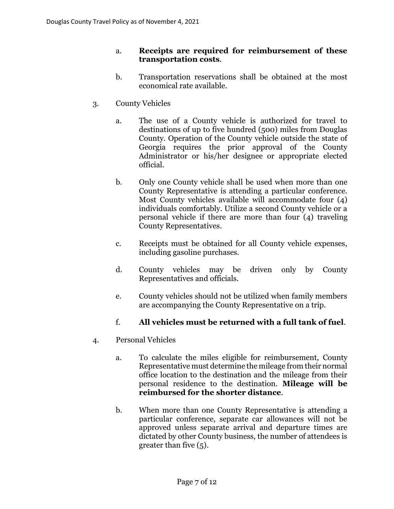## a. **Receipts are required for reimbursement of these transportation costs**.

- b. Transportation reservations shall be obtained at the most economical rate available.
- 3. County Vehicles
	- a. The use of a County vehicle is authorized for travel to destinations of up to five hundred (500) miles from Douglas County. Operation of the County vehicle outside the state of Georgia requires the prior approval of the County Administrator or his/her designee or appropriate elected official.
	- b. Only one County vehicle shall be used when more than one County Representative is attending a particular conference. Most County vehicles available will accommodate four (4) individuals comfortably. Utilize a second County vehicle or a personal vehicle if there are more than four (4) traveling County Representatives.
	- c. Receipts must be obtained for all County vehicle expenses, including gasoline purchases.
	- d. County vehicles may be driven only by County Representatives and officials.
	- e. County vehicles should not be utilized when family members are accompanying the County Representative on a trip.

# f. **All vehicles must be returned with a full tank of fuel**.

- 4. Personal Vehicles
	- a. To calculate the miles eligible for reimbursement, County Representative must determine the mileage from their normal office location to the destination and the mileage from their personal residence to the destination. **Mileage will be reimbursed for the shorter distance**.
	- b. When more than one County Representative is attending a particular conference, separate car allowances will not be approved unless separate arrival and departure times are dictated by other County business, the number of attendees is greater than five (5).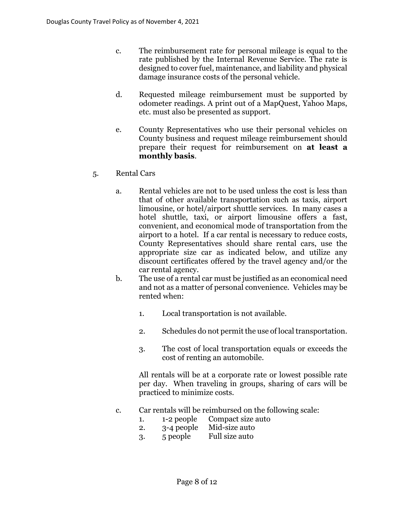- c. The reimbursement rate for personal mileage is equal to the rate published by the Internal Revenue Service. The rate is designed to cover fuel, maintenance, and liability and physical damage insurance costs of the personal vehicle.
- d. Requested mileage reimbursement must be supported by odometer readings. A print out of a MapQuest, Yahoo Maps, etc. must also be presented as support.
- e. County Representatives who use their personal vehicles on County business and request mileage reimbursement should prepare their request for reimbursement on **at least a monthly basis**.
- 5. Rental Cars
	- a. Rental vehicles are not to be used unless the cost is less than that of other available transportation such as taxis, airport limousine, or hotel/airport shuttle services. In many cases a hotel shuttle, taxi, or airport limousine offers a fast, convenient, and economical mode of transportation from the airport to a hotel. If a car rental is necessary to reduce costs, County Representatives should share rental cars, use the appropriate size car as indicated below, and utilize any discount certificates offered by the travel agency and/or the car rental agency.
	- b. The use of a rental car must be justified as an economical need and not as a matter of personal convenience. Vehicles may be rented when:
		- 1. Local transportation is not available.
		- 2. Schedules do not permit the use of local transportation.
		- 3. The cost of local transportation equals or exceeds the cost of renting an automobile.

All rentals will be at a corporate rate or lowest possible rate per day. When traveling in groups, sharing of cars will be practiced to minimize costs.

- c. Car rentals will be reimbursed on the following scale:
	- 1. 1-2 people Compact size auto
	- 2. 3-4 people Mid-size auto
	- 3. 5 people Full size auto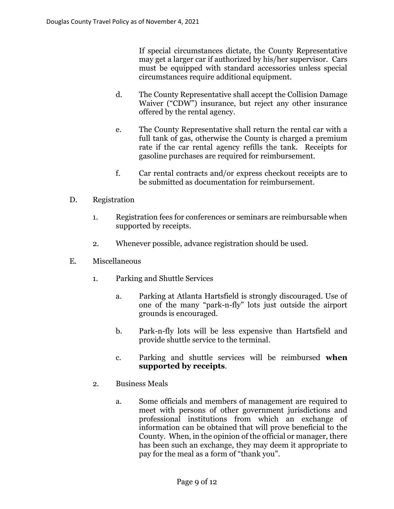If special circumstances dictate, the County Representative may get a larger car if authorized by his/her supervisor. Cars must be equipped with standard accessories unless special circumstances require additional equipment.

- d. The County Representative shall accept the Collision Damage Waiver ("CDW") insurance, but reject any other insurance offered by the rental agency.
- e. The County Representative shall return the rental car with a full tank of gas, otherwise the County is charged a premium rate if the car rental agency refills the tank. Receipts for gasoline purchases are required for reimbursement.
- f. Car rental contracts and/or express checkout receipts are to be submitted as documentation for reimbursement.

## D. Registration

- 1. Registration fees for conferences or seminars are reimbursable when supported by receipts.
- 2. Whenever possible, advance registration should be used.
- E. Miscellaneous
	- 1. Parking and Shuttle Services
		- a. Parking at Atlanta Hartsfield is strongly discouraged. Use of one of the many "park-n-fly" lots just outside the airport grounds is encouraged.
		- b. Park-n-fly lots will be less expensive than Hartsfield and provide shuttle service to the terminal.
		- c. Parking and shuttle services will be reimbursed **when supported by receipts**.
	- 2. Business Meals
		- a. Some officials and members of management are required to meet with persons of other government jurisdictions and professional institutions from which an exchange of information can be obtained that will prove beneficial to the County. When, in the opinion of the official or manager, there has been such an exchange, they may deem it appropriate to pay for the meal as a form of "thank you".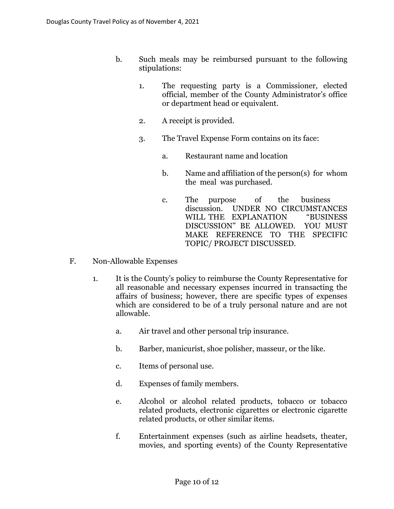- b. Such meals may be reimbursed pursuant to the following stipulations:
	- 1. The requesting party is a Commissioner, elected official, member of the County Administrator's office or department head or equivalent.
	- 2. A receipt is provided.
	- 3. The Travel Expense Form contains on its face:
		- a. Restaurant name and location
		- b. Name and affiliation of the person(s) for whom the meal was purchased.
		- c. The purpose of the business discussion. UNDER NO CIRCUMSTANCES WILL THE EXPLANATION "BUSINESS DISCUSSION" BE ALLOWED. YOU MUST MAKE REFERENCE TO THE SPECIFIC TOPIC/ PROJECT DISCUSSED.
- F. Non-Allowable Expenses
	- 1. It is the County's policy to reimburse the County Representative for all reasonable and necessary expenses incurred in transacting the affairs of business; however, there are specific types of expenses which are considered to be of a truly personal nature and are not allowable.
		- a. Air travel and other personal trip insurance.
		- b. Barber, manicurist, shoe polisher, masseur, or the like.
		- c. Items of personal use.
		- d. Expenses of family members.
		- e. Alcohol or alcohol related products, tobacco or tobacco related products, electronic cigarettes or electronic cigarette related products, or other similar items.
		- f. Entertainment expenses (such as airline headsets, theater, movies, and sporting events) of the County Representative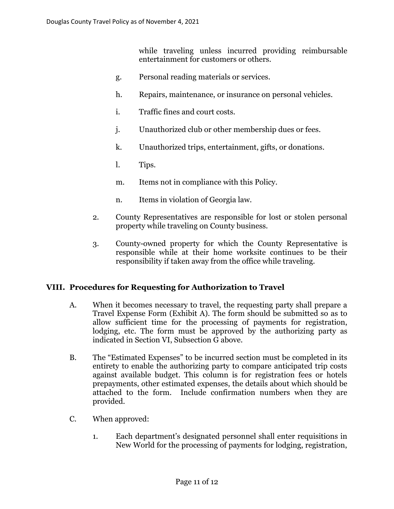while traveling unless incurred providing reimbursable entertainment for customers or others.

- g. Personal reading materials or services.
- h. Repairs, maintenance, or insurance on personal vehicles.
- i. Traffic fines and court costs.
- j. Unauthorized club or other membership dues or fees.
- k. Unauthorized trips, entertainment, gifts, or donations.
- l. Tips.
- m. Items not in compliance with this Policy.
- n. Items in violation of Georgia law.
- 2. County Representatives are responsible for lost or stolen personal property while traveling on County business.
- 3. County-owned property for which the County Representative is responsible while at their home worksite continues to be their responsibility if taken away from the office while traveling.

## **VIII. Procedures for Requesting for Authorization to Travel**

- A. When it becomes necessary to travel, the requesting party shall prepare a Travel Expense Form (Exhibit A). The form should be submitted so as to allow sufficient time for the processing of payments for registration, lodging, etc. The form must be approved by the authorizing party as indicated in Section VI, Subsection G above.
- B. The "Estimated Expenses" to be incurred section must be completed in its entirety to enable the authorizing party to compare anticipated trip costs against available budget. This column is for registration fees or hotels prepayments, other estimated expenses, the details about which should be attached to the form. Include confirmation numbers when they are provided.
- C. When approved:
	- 1. Each department's designated personnel shall enter requisitions in New World for the processing of payments for lodging, registration,